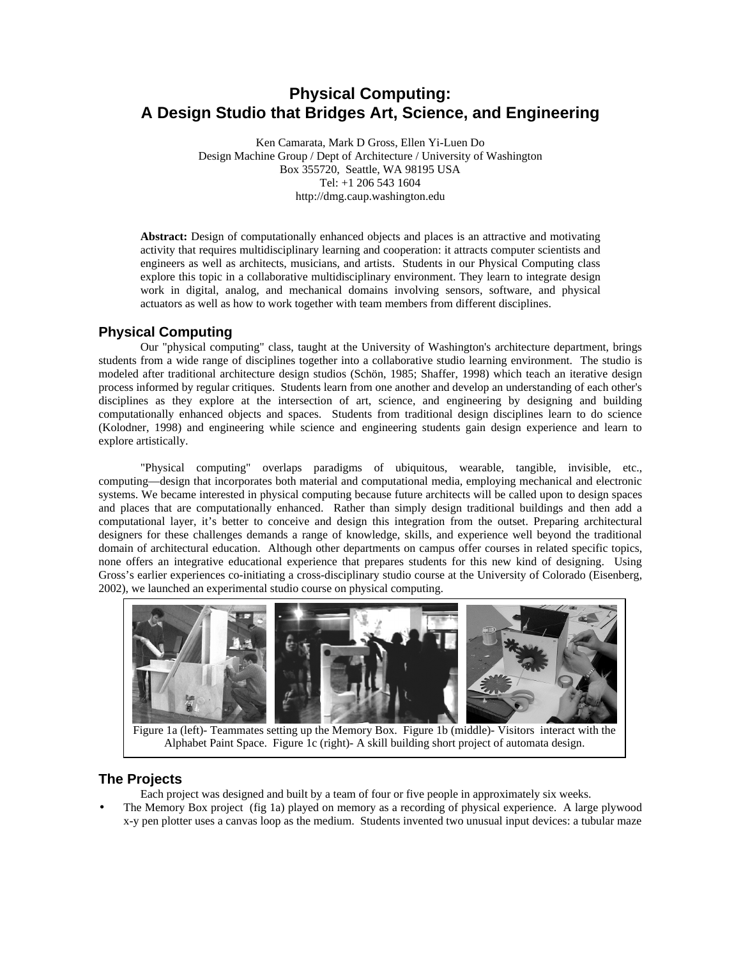# **Physical Computing: A Design Studio that Bridges Art, Science, and Engineering**

Ken Camarata, Mark D Gross, Ellen Yi-Luen Do Design Machine Group / Dept of Architecture / University of Washington Box 355720, Seattle, WA 98195 USA Tel: +1 206 543 1604 http://dmg.caup.washington.edu

**Abstract:** Design of computationally enhanced objects and places is an attractive and motivating activity that requires multidisciplinary learning and cooperation: it attracts computer scientists and engineers as well as architects, musicians, and artists. Students in our Physical Computing class explore this topic in a collaborative multidisciplinary environment. They learn to integrate design work in digital, analog, and mechanical domains involving sensors, software, and physical actuators as well as how to work together with team members from different disciplines.

# **Physical Computing**

Our "physical computing" class, taught at the University of Washington's architecture department, brings students from a wide range of disciplines together into a collaborative studio learning environment. The studio is modeled after traditional architecture design studios (Schön, 1985; Shaffer, 1998) which teach an iterative design process informed by regular critiques. Students learn from one another and develop an understanding of each other's disciplines as they explore at the intersection of art, science, and engineering by designing and building computationally enhanced objects and spaces. Students from traditional design disciplines learn to do science (Kolodner, 1998) and engineering while science and engineering students gain design experience and learn to explore artistically.

"Physical computing" overlaps paradigms of ubiquitous, wearable, tangible, invisible, etc., computing—design that incorporates both material and computational media, employing mechanical and electronic systems. We became interested in physical computing because future architects will be called upon to design spaces and places that are computationally enhanced. Rather than simply design traditional buildings and then add a computational layer, it's better to conceive and design this integration from the outset. Preparing architectural designers for these challenges demands a range of knowledge, skills, and experience well beyond the traditional domain of architectural education. Although other departments on campus offer courses in related specific topics, none offers an integrative educational experience that prepares students for this new kind of designing. Using Gross's earlier experiences co-initiating a cross-disciplinary studio course at the University of Colorado (Eisenberg, 2002), we launched an experimental studio course on physical computing.



Figure 1a (left)- Teammates setting up the Memory Box. Figure 1b (middle)- Visitors interact with the Alphabet Paint Space. Figure 1c (right)- A skill building short project of automata design.

## **The Projects**

- Each project was designed and built by a team of four or five people in approximately six weeks.
- The Memory Box project (fig 1a) played on memory as a recording of physical experience. A large plywood x-y pen plotter uses a canvas loop as the medium. Students invented two unusual input devices: a tubular maze